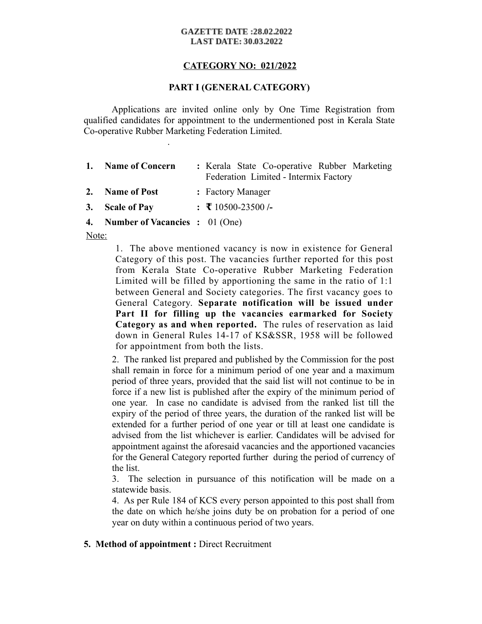#### **GAZETTE DATE:28.02.2022 LAST DATE: 30.03.2022**

# **CATEGORY NO: 021/2022**

# **PART I (GENERAL CATEGORY)**

Applications are invited online only by One Time Registration from qualified candidates for appointment to the undermentioned post in Kerala State Co-operative Rubber Marketing Federation Limited.

.

| 1. Name of Concern                | : Kerala State Co-operative Rubber Marketing<br>Federation Limited - Intermix Factory |
|-----------------------------------|---------------------------------------------------------------------------------------|
| 2. Name of Post                   | : Factory Manager                                                                     |
| 3. Scale of Pay                   | : $\bar{x}$ 10500-23500 /-                                                            |
| 4. Number of Vacancies : 01 (One) |                                                                                       |

Note:

1. The above mentioned vacancy is now in existence for General Category of this post. The vacancies further reported for this post from Kerala State Co-operative Rubber Marketing Federation Limited will be filled by apportioning the same in the ratio of 1:1 between General and Society categories. The first vacancy goes to General Category. **Separate notification will be issued under Part II for filling up the vacancies earmarked for Society Category as and when reported.** The rules of reservation as laid down in General Rules 14-17 of KS&SSR, 1958 will be followed for appointment from both the lists.

2. The ranked list prepared and published by the Commission for the post shall remain in force for a minimum period of one year and a maximum period of three years, provided that the said list will not continue to be in force if a new list is published after the expiry of the minimum period of one year. In case no candidate is advised from the ranked list till the expiry of the period of three years, the duration of the ranked list will be extended for a further period of one year or till at least one candidate is advised from the list whichever is earlier. Candidates will be advised for appointment against the aforesaid vacancies and the apportioned vacancies for the General Category reported further during the period of currency of the list.

3. The selection in pursuance of this notification will be made on a statewide basis.

4. As per Rule 184 of KCS every person appointed to this post shall from the date on which he/she joins duty be on probation for a period of one year on duty within a continuous period of two years.

**5. Method of appointment :** Direct Recruitment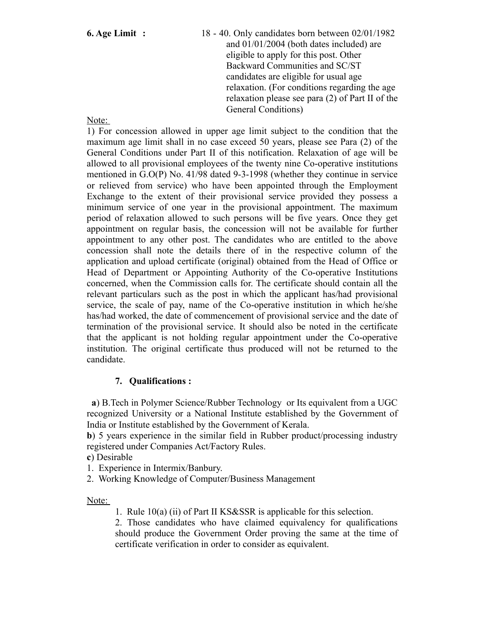**6. Age Limit :** 18 - 40. Only candidates born between 02/01/1982 and 01/01/2004 (both dates included) are eligible to apply for this post. Other Backward Communities and SC/ST candidates are eligible for usual age relaxation. (For conditions regarding the age relaxation please see para (2) of Part II of the General Conditions)

Note:

1) For concession allowed in upper age limit subject to the condition that the maximum age limit shall in no case exceed 50 years, please see Para (2) of the General Conditions under Part II of this notification. Relaxation of age will be allowed to all provisional employees of the twenty nine Co-operative institutions mentioned in G.O(P) No. 41/98 dated 9-3-1998 (whether they continue in service or relieved from service) who have been appointed through the Employment Exchange to the extent of their provisional service provided they possess a minimum service of one year in the provisional appointment. The maximum period of relaxation allowed to such persons will be five years. Once they get appointment on regular basis, the concession will not be available for further appointment to any other post. The candidates who are entitled to the above concession shall note the details there of in the respective column of the application and upload certificate (original) obtained from the Head of Office or Head of Department or Appointing Authority of the Co-operative Institutions concerned, when the Commission calls for. The certificate should contain all the relevant particulars such as the post in which the applicant has/had provisional service, the scale of pay, name of the Co-operative institution in which he/she has/had worked, the date of commencement of provisional service and the date of termination of the provisional service. It should also be noted in the certificate that the applicant is not holding regular appointment under the Co-operative institution. The original certificate thus produced will not be returned to the candidate.

# **7. Qualifications :**

 **a**) B.Tech in Polymer Science/Rubber Technology or Its equivalent from a UGC recognized University or a National Institute established by the Government of India or Institute established by the Government of Kerala.

**b**) 5 years experience in the similar field in Rubber product/processing industry registered under Companies Act/Factory Rules.

**c**) Desirable

1. Experience in Intermix/Banbury.

2. Working Knowledge of Computer/Business Management

Note:

1. Rule 10(a) (ii) of Part II KS&SSR is applicable for this selection.

2. Those candidates who have claimed equivalency for qualifications should produce the Government Order proving the same at the time of certificate verification in order to consider as equivalent.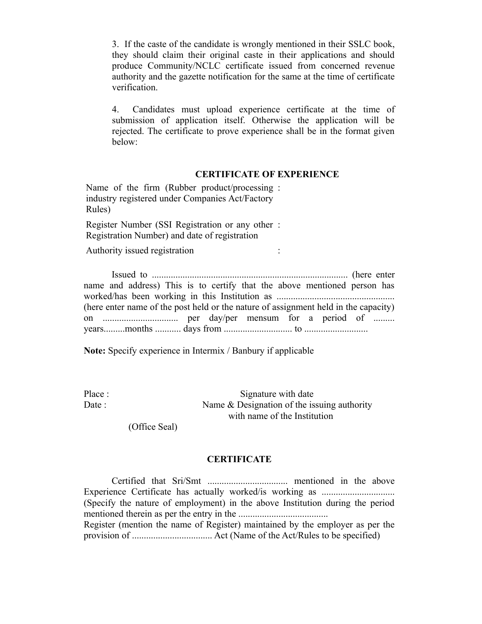3. If the caste of the candidate is wrongly mentioned in their SSLC book, they should claim their original caste in their applications and should produce Community/NCLC certificate issued from concerned revenue authority and the gazette notification for the same at the time of certificate verification.

4. Candidates must upload experience certificate at the time of submission of application itself. Otherwise the application will be rejected. The certificate to prove experience shall be in the format given below:

## **CERTIFICATE OF EXPERIENCE**

Name of the firm (Rubber product/processing : industry registered under Companies Act/Factory Rules)

Register Number (SSI Registration or any other : Registration Number) and date of registration

Authority issued registration :

| name and address) This is to certify that the above mentioned person has            |  |  |  |  |  |  |  |  |
|-------------------------------------------------------------------------------------|--|--|--|--|--|--|--|--|
|                                                                                     |  |  |  |  |  |  |  |  |
| (here enter name of the post held or the nature of assignment held in the capacity) |  |  |  |  |  |  |  |  |
|                                                                                     |  |  |  |  |  |  |  |  |
|                                                                                     |  |  |  |  |  |  |  |  |

**Note:** Specify experience in Intermix / Banbury if applicable

Place : Signature with date Date : Name & Designation of the issuing authority with name of the Institution

(Office Seal)

# **CERTIFICATE**

Certified that Sri/Smt .................................. mentioned in the above Experience Certificate has actually worked/is working as ............................... (Specify the nature of employment) in the above Institution during the period mentioned therein as per the entry in the ...................................... Register (mention the name of Register) maintained by the employer as per the provision of .................................. Act (Name of the Act/Rules to be specified)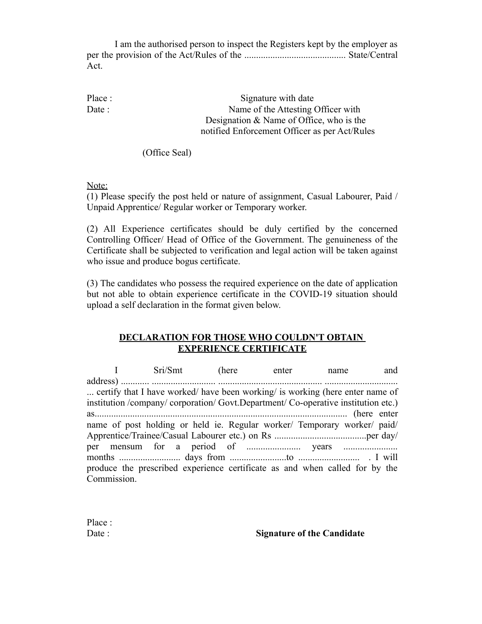I am the authorised person to inspect the Registers kept by the employer as per the provision of the Act/Rules of the ........................................... State/Central Act.

Place : Signature with date Date : Name of the Attesting Officer with Designation & Name of Office, who is the notified Enforcement Officer as per Act/Rules

(Office Seal)

Note:

(1) Please specify the post held or nature of assignment, Casual Labourer, Paid / Unpaid Apprentice/ Regular worker or Temporary worker.

(2) All Experience certificates should be duly certified by the concerned Controlling Officer/ Head of Office of the Government. The genuineness of the Certificate shall be subjected to verification and legal action will be taken against who issue and produce bogus certificate.

(3) The candidates who possess the required experience on the date of application but not able to obtain experience certificate in the COVID-19 situation should upload a self declaration in the format given below.

## **DECLARATION FOR THOSE WHO COULDN'T OBTAIN EXPERIENCE CERTIFICATE**

|                                                                                            | I Sri/Smt (here enter                                                         |  |  | name | and |  |
|--------------------------------------------------------------------------------------------|-------------------------------------------------------------------------------|--|--|------|-----|--|
|                                                                                            |                                                                               |  |  |      |     |  |
|                                                                                            | certify that I have worked/ have been working/ is working (here enter name of |  |  |      |     |  |
| institution /company/ corporation/ Govt.Department/ Co-operative institution etc.)         |                                                                               |  |  |      |     |  |
|                                                                                            |                                                                               |  |  |      |     |  |
| name of post holding or held ie. Regular worker/ Temporary worker/ paid/                   |                                                                               |  |  |      |     |  |
|                                                                                            |                                                                               |  |  |      |     |  |
|                                                                                            |                                                                               |  |  |      |     |  |
|                                                                                            |                                                                               |  |  |      |     |  |
| produce the prescribed experience certificate as and when called for by the<br>Commission. |                                                                               |  |  |      |     |  |

| Date : | <b>Signature of the Candidate</b> |
|--------|-----------------------------------|
|        |                                   |

Place :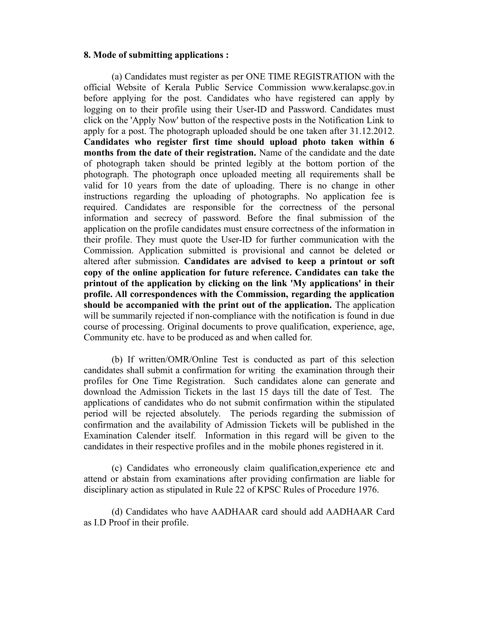### **8. Mode of submitting applications :**

(a) Candidates must register as per ONE TIME REGISTRATION with the official Website of Kerala Public Service Commission www.keralapsc.gov.in before applying for the post. Candidates who have registered can apply by logging on to their profile using their User-ID and Password. Candidates must click on the 'Apply Now' button of the respective posts in the Notification Link to apply for a post. The photograph uploaded should be one taken after 31.12.2012. **Candidates who register first time should upload photo taken within 6 months from the date of their registration.** Name of the candidate and the date of photograph taken should be printed legibly at the bottom portion of the photograph. The photograph once uploaded meeting all requirements shall be valid for 10 years from the date of uploading. There is no change in other instructions regarding the uploading of photographs. No application fee is required. Candidates are responsible for the correctness of the personal information and secrecy of password. Before the final submission of the application on the profile candidates must ensure correctness of the information in their profile. They must quote the User-ID for further communication with the Commission. Application submitted is provisional and cannot be deleted or altered after submission. **Candidates are advised to keep a printout or soft copy of the online application for future reference. Candidates can take the printout of the application by clicking on the link 'My applications' in their profile. All correspondences with the Commission, regarding the application should be accompanied with the print out of the application.** The application will be summarily rejected if non-compliance with the notification is found in due course of processing. Original documents to prove qualification, experience, age, Community etc. have to be produced as and when called for.

(b) If written/OMR/Online Test is conducted as part of this selection candidates shall submit a confirmation for writing the examination through their profiles for One Time Registration. Such candidates alone can generate and download the Admission Tickets in the last 15 days till the date of Test. The applications of candidates who do not submit confirmation within the stipulated period will be rejected absolutely. The periods regarding the submission of confirmation and the availability of Admission Tickets will be published in the Examination Calender itself. Information in this regard will be given to the candidates in their respective profiles and in the mobile phones registered in it.

(c) Candidates who erroneously claim qualification,experience etc and attend or abstain from examinations after providing confirmation are liable for disciplinary action as stipulated in Rule 22 of KPSC Rules of Procedure 1976.

(d) Candidates who have AADHAAR card should add AADHAAR Card as I.D Proof in their profile.